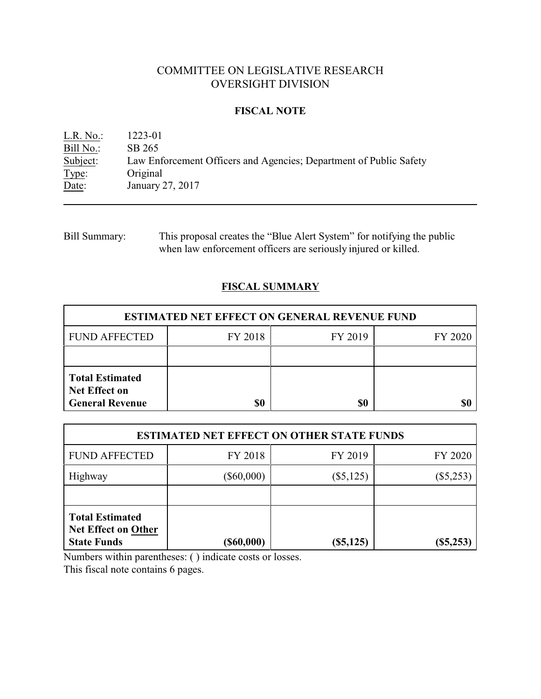# COMMITTEE ON LEGISLATIVE RESEARCH OVERSIGHT DIVISION

## **FISCAL NOTE**

L.R. No.: 1223-01 Bill No.: SB 265<br>Subject: Law Ent Subject: Law Enforcement Officers and Agencies; Department of Public Safety Type: Original Type: Original<br>Date: January 2 January 27, 2017

Bill Summary: This proposal creates the "Blue Alert System" for notifying the public when law enforcement officers are seriously injured or killed.

## **FISCAL SUMMARY**

| <b>ESTIMATED NET EFFECT ON GENERAL REVENUE FUND</b>                      |         |         |         |  |
|--------------------------------------------------------------------------|---------|---------|---------|--|
| <b>FUND AFFECTED</b>                                                     | FY 2018 | FY 2019 | FY 2020 |  |
|                                                                          |         |         |         |  |
| <b>Total Estimated</b><br><b>Net Effect on</b><br><b>General Revenue</b> | \$0     | \$0     |         |  |

| <b>ESTIMATED NET EFFECT ON OTHER STATE FUNDS</b>                           |               |             |             |  |
|----------------------------------------------------------------------------|---------------|-------------|-------------|--|
| <b>FUND AFFECTED</b>                                                       | FY 2018       | FY 2019     | FY 2020     |  |
| Highway                                                                    | $(\$60,000)$  | $(\$5,125)$ | $(\$5,253)$ |  |
|                                                                            |               |             |             |  |
| <b>Total Estimated</b><br><b>Net Effect on Other</b><br><b>State Funds</b> | $($ \$60,000) | $(\$5,125)$ | (\$5,253    |  |

Numbers within parentheses: ( ) indicate costs or losses.

This fiscal note contains 6 pages.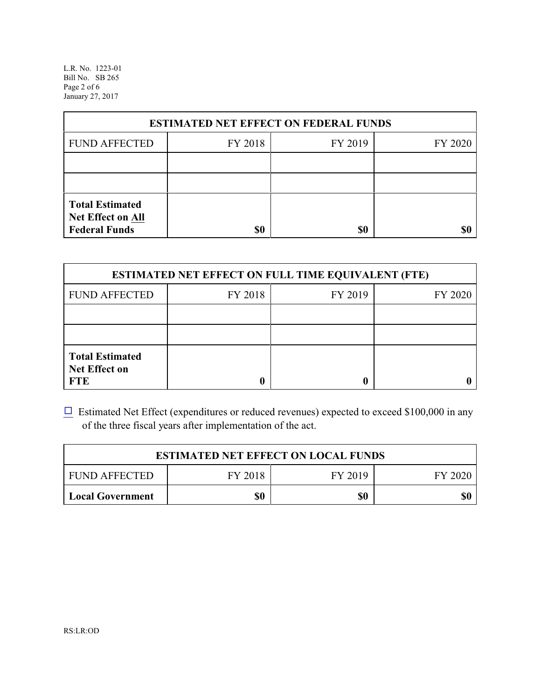L.R. No. 1223-01 Bill No. SB 265 Page 2 of 6 January 27, 2017

| <b>ESTIMATED NET EFFECT ON FEDERAL FUNDS</b>                        |         |         |         |  |
|---------------------------------------------------------------------|---------|---------|---------|--|
| <b>FUND AFFECTED</b>                                                | FY 2018 | FY 2019 | FY 2020 |  |
|                                                                     |         |         |         |  |
|                                                                     |         |         |         |  |
| <b>Total Estimated</b><br>Net Effect on All<br><b>Federal Funds</b> | \$0     | \$0     |         |  |

| <b>ESTIMATED NET EFFECT ON FULL TIME EQUIVALENT (FTE)</b>    |         |         |         |  |
|--------------------------------------------------------------|---------|---------|---------|--|
| <b>FUND AFFECTED</b>                                         | FY 2018 | FY 2019 | FY 2020 |  |
|                                                              |         |         |         |  |
|                                                              |         |         |         |  |
| <b>Total Estimated</b><br><b>Net Effect on</b><br><b>FTE</b> |         |         |         |  |

 $\Box$  Estimated Net Effect (expenditures or reduced revenues) expected to exceed \$100,000 in any of the three fiscal years after implementation of the act.

| <b>ESTIMATED NET EFFECT ON LOCAL FUNDS</b> |         |         |         |  |
|--------------------------------------------|---------|---------|---------|--|
| <b>FUND AFFECTED</b>                       | FY 2018 | FY 2019 | FY 2020 |  |
| <b>Local Government</b>                    | \$0     | \$0     | \$0     |  |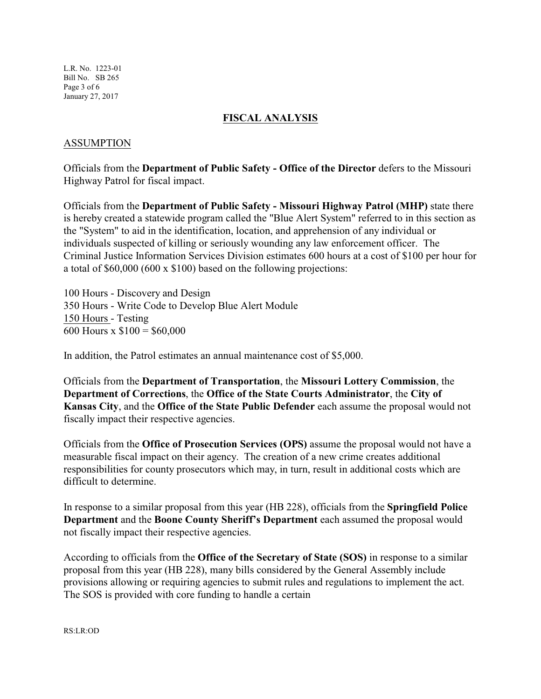L.R. No. 1223-01 Bill No. SB 265 Page 3 of 6 January 27, 2017

#### **FISCAL ANALYSIS**

## ASSUMPTION

Officials from the **Department of Public Safety - Office of the Director** defers to the Missouri Highway Patrol for fiscal impact.

Officials from the **Department of Public Safety - Missouri Highway Patrol (MHP)** state there is hereby created a statewide program called the "Blue Alert System" referred to in this section as the "System" to aid in the identification, location, and apprehension of any individual or individuals suspected of killing or seriously wounding any law enforcement officer. The Criminal Justice Information Services Division estimates 600 hours at a cost of \$100 per hour for a total of \$60,000 (600 x \$100) based on the following projections:

100 Hours - Discovery and Design 350 Hours - Write Code to Develop Blue Alert Module 150 Hours - Testing 600 Hours x  $$100 = $60,000$ 

In addition, the Patrol estimates an annual maintenance cost of \$5,000.

Officials from the **Department of Transportation**, the **Missouri Lottery Commission**, the **Department of Corrections**, the **Office of the State Courts Administrator**, the **City of Kansas City**, and the **Office of the State Public Defender** each assume the proposal would not fiscally impact their respective agencies.

Officials from the **Office of Prosecution Services (OPS)** assume the proposal would not have a measurable fiscal impact on their agency. The creation of a new crime creates additional responsibilities for county prosecutors which may, in turn, result in additional costs which are difficult to determine.

In response to a similar proposal from this year (HB 228), officials from the **Springfield Police Department** and the **Boone County Sheriff's Department** each assumed the proposal would not fiscally impact their respective agencies.

According to officials from the **Office of the Secretary of State (SOS)** in response to a similar proposal from this year (HB 228), many bills considered by the General Assembly include provisions allowing or requiring agencies to submit rules and regulations to implement the act. The SOS is provided with core funding to handle a certain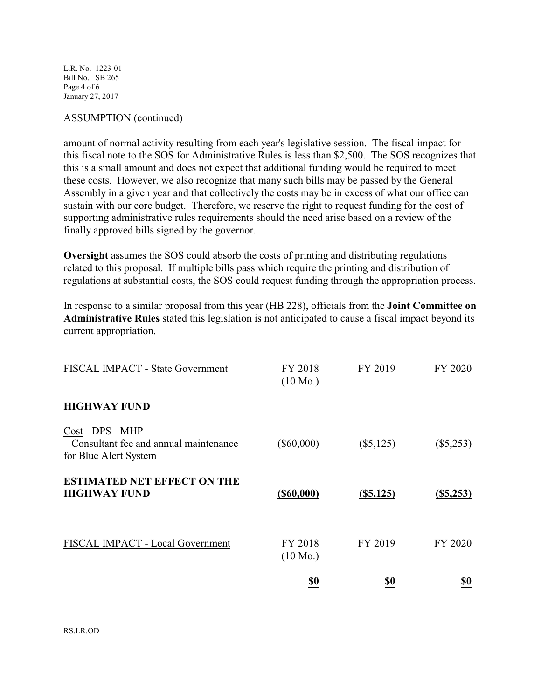L.R. No. 1223-01 Bill No. SB 265 Page 4 of 6 January 27, 2017

#### ASSUMPTION (continued)

amount of normal activity resulting from each year's legislative session. The fiscal impact for this fiscal note to the SOS for Administrative Rules is less than \$2,500. The SOS recognizes that this is a small amount and does not expect that additional funding would be required to meet these costs. However, we also recognize that many such bills may be passed by the General Assembly in a given year and that collectively the costs may be in excess of what our office can sustain with our core budget. Therefore, we reserve the right to request funding for the cost of supporting administrative rules requirements should the need arise based on a review of the finally approved bills signed by the governor.

**Oversight** assumes the SOS could absorb the costs of printing and distributing regulations related to this proposal. If multiple bills pass which require the printing and distribution of regulations at substantial costs, the SOS could request funding through the appropriation process.

In response to a similar proposal from this year (HB 228), officials from the **Joint Committee on Administrative Rules** stated this legislation is not anticipated to cause a fiscal impact beyond its current appropriation.

| <b>HIGHWAY FUND</b>                                                                | $(10 \text{ Mo.})$            |              |              |
|------------------------------------------------------------------------------------|-------------------------------|--------------|--------------|
| Cost - DPS - MHP<br>Consultant fee and annual maintenance<br>for Blue Alert System | $(\$60,000)$                  | $(\$5,125)$  | $(\$5,253)$  |
| <b>ESTIMATED NET EFFECT ON THE</b><br><b>HIGHWAY FUND</b>                          | $($ \$60,000)                 | $($ \$5,125) | $($ \$5,253) |
| FISCAL IMPACT - Local Government                                                   | FY 2018<br>$(10 \text{ Mo.})$ | FY 2019      | FY 2020      |
|                                                                                    | <u>\$0</u>                    | <u>\$0</u>   | <u>\$0</u>   |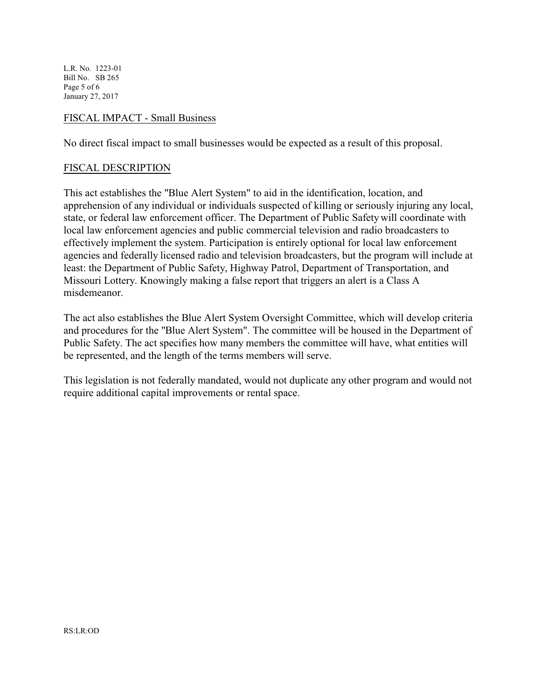L.R. No. 1223-01 Bill No. SB 265 Page 5 of 6 January 27, 2017

#### FISCAL IMPACT - Small Business

No direct fiscal impact to small businesses would be expected as a result of this proposal.

#### FISCAL DESCRIPTION

This act establishes the "Blue Alert System" to aid in the identification, location, and apprehension of any individual or individuals suspected of killing or seriously injuring any local, state, or federal law enforcement officer. The Department of Public Safety will coordinate with local law enforcement agencies and public commercial television and radio broadcasters to effectively implement the system. Participation is entirely optional for local law enforcement agencies and federally licensed radio and television broadcasters, but the program will include at least: the Department of Public Safety, Highway Patrol, Department of Transportation, and Missouri Lottery. Knowingly making a false report that triggers an alert is a Class A misdemeanor.

The act also establishes the Blue Alert System Oversight Committee, which will develop criteria and procedures for the "Blue Alert System". The committee will be housed in the Department of Public Safety. The act specifies how many members the committee will have, what entities will be represented, and the length of the terms members will serve.

This legislation is not federally mandated, would not duplicate any other program and would not require additional capital improvements or rental space.